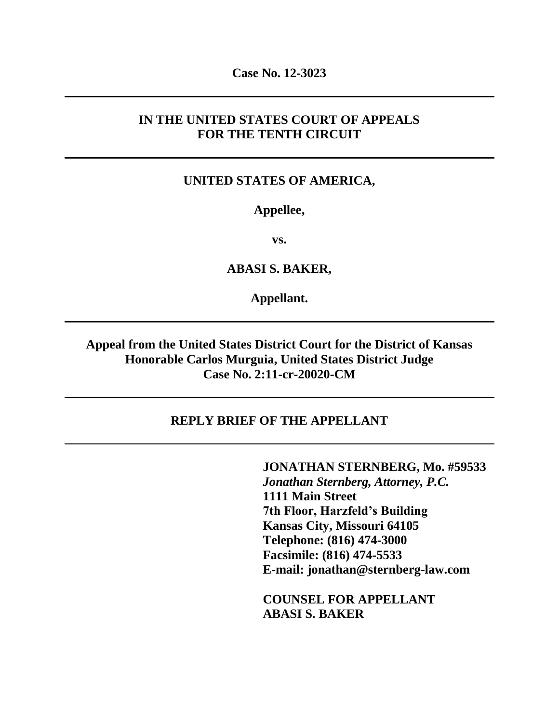**Case No. 12-3023**

#### **IN THE UNITED STATES COURT OF APPEALS FOR THE TENTH CIRCUIT**

#### **UNITED STATES OF AMERICA,**

#### **Appellee,**

**vs.**

**ABASI S. BAKER,**

**Appellant.**

**Appeal from the United States District Court for the District of Kansas Honorable Carlos Murguia, United States District Judge Case No. 2:11-cr-20020-CM**

#### **REPLY BRIEF OF THE APPELLANT**

**JONATHAN STERNBERG, Mo. #59533** *Jonathan Sternberg, Attorney, P.C.* **1111 Main Street 7th Floor, Harzfeld's Building Kansas City, Missouri 64105 Telephone: (816) 474-3000 Facsimile: (816) 474-5533 E-mail: jonathan@sternberg-law.com**

**COUNSEL FOR APPELLANT ABASI S. BAKER**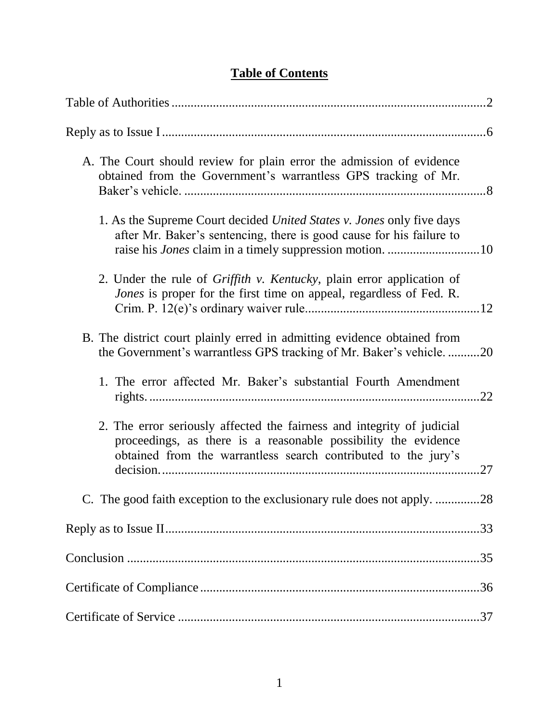# **Table of Contents**

| A. The Court should review for plain error the admission of evidence<br>obtained from the Government's warrantless GPS tracking of Mr.                                                                                  |
|-------------------------------------------------------------------------------------------------------------------------------------------------------------------------------------------------------------------------|
| 1. As the Supreme Court decided <i>United States v. Jones</i> only five days<br>after Mr. Baker's sentencing, there is good cause for his failure to<br>raise his <i>Jones</i> claim in a timely suppression motion. 10 |
| 2. Under the rule of <i>Griffith v. Kentucky</i> , plain error application of<br>Jones is proper for the first time on appeal, regardless of Fed. R.                                                                    |
| B. The district court plainly erred in admitting evidence obtained from<br>the Government's warrantless GPS tracking of Mr. Baker's vehicle20                                                                           |
| 1. The error affected Mr. Baker's substantial Fourth Amendment                                                                                                                                                          |
| 2. The error seriously affected the fairness and integrity of judicial<br>proceedings, as there is a reasonable possibility the evidence<br>obtained from the warrantless search contributed to the jury's<br>.27       |
| C. The good faith exception to the exclusionary rule does not apply. 28                                                                                                                                                 |
|                                                                                                                                                                                                                         |
|                                                                                                                                                                                                                         |
|                                                                                                                                                                                                                         |
|                                                                                                                                                                                                                         |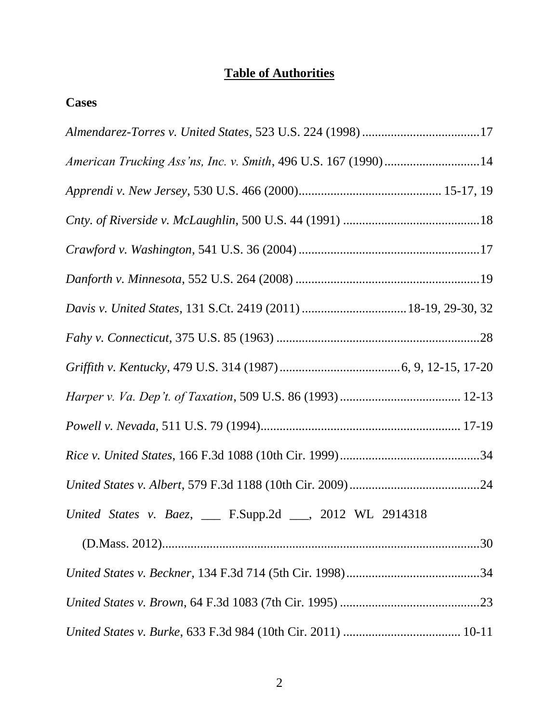# **Table of Authorities**

## **Cases**

| American Trucking Ass'ns, Inc. v. Smith, 496 U.S. 167 (1990)14 |
|----------------------------------------------------------------|
|                                                                |
|                                                                |
|                                                                |
|                                                                |
|                                                                |
|                                                                |
|                                                                |
|                                                                |
|                                                                |
|                                                                |
|                                                                |
| United States v. Baez, ___ F.Supp.2d ___, 2012 WL 2914318      |
|                                                                |
|                                                                |
|                                                                |
|                                                                |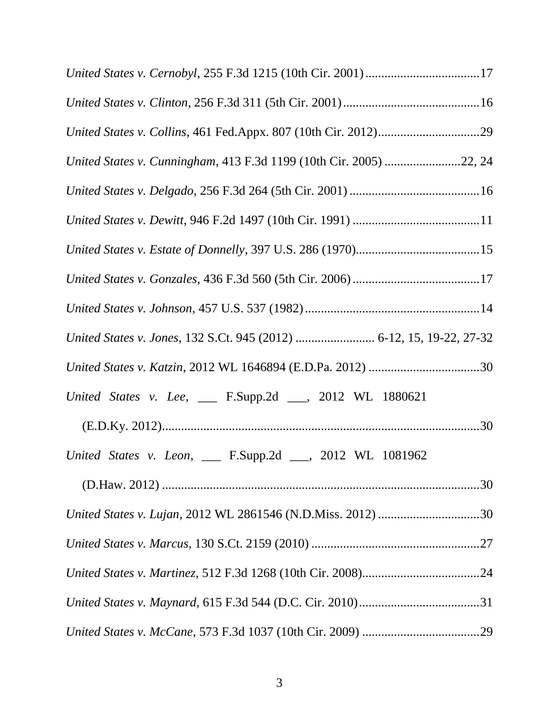| United States v. Cernobyl, 255 F.3d 1215 (10th Cir. 2001)17          |
|----------------------------------------------------------------------|
|                                                                      |
|                                                                      |
| United States v. Cunningham, 413 F.3d 1199 (10th Cir. 2005) 22, 24   |
|                                                                      |
|                                                                      |
|                                                                      |
|                                                                      |
|                                                                      |
| United States v. Jones, 132 S.Ct. 945 (2012)  6-12, 15, 19-22, 27-32 |
|                                                                      |
| United States v. Lee, __ F.Supp.2d __, 2012 WL 1880621               |
|                                                                      |
| United States v. Leon, __ F.Supp.2d __, 2012 WL 1081962              |
|                                                                      |
| United States v. Lujan, 2012 WL 2861546 (N.D.Miss. 2012) 30          |
|                                                                      |
|                                                                      |
|                                                                      |
|                                                                      |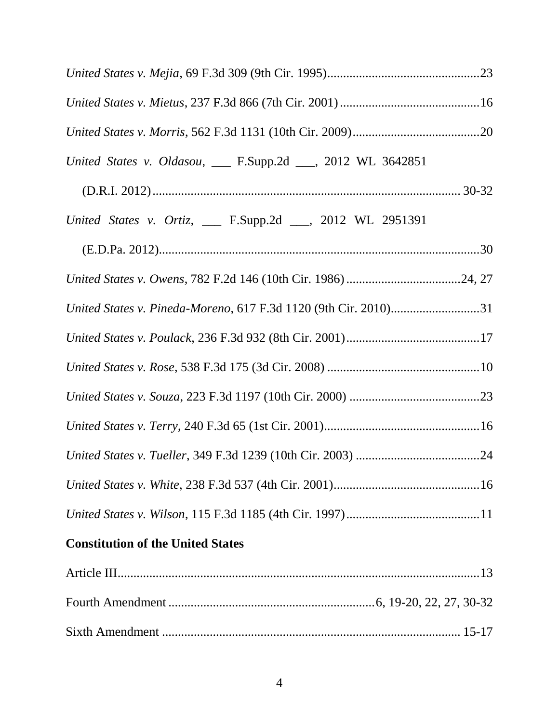| United States v. Oldasou, __ F.Supp.2d __, 2012 WL 3642851      |  |
|-----------------------------------------------------------------|--|
|                                                                 |  |
| United States v. Ortiz, __ F.Supp.2d __, 2012 WL 2951391        |  |
|                                                                 |  |
|                                                                 |  |
| United States v. Pineda-Moreno, 617 F.3d 1120 (9th Cir. 2010)31 |  |
|                                                                 |  |
|                                                                 |  |
|                                                                 |  |
|                                                                 |  |
|                                                                 |  |
|                                                                 |  |
|                                                                 |  |
| <b>Constitution of the United States</b>                        |  |
|                                                                 |  |
|                                                                 |  |
|                                                                 |  |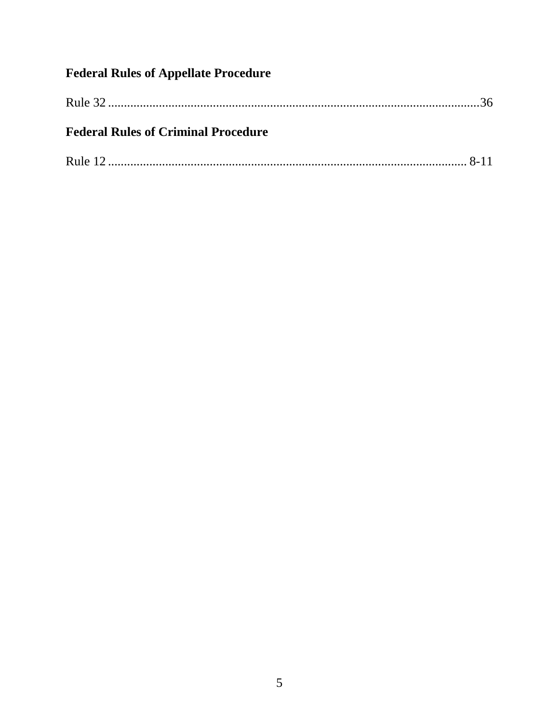# **Federal Rules of Appellate Procedure**

| <b>Federal Rules of Criminal Procedure</b> |  |
|--------------------------------------------|--|
|                                            |  |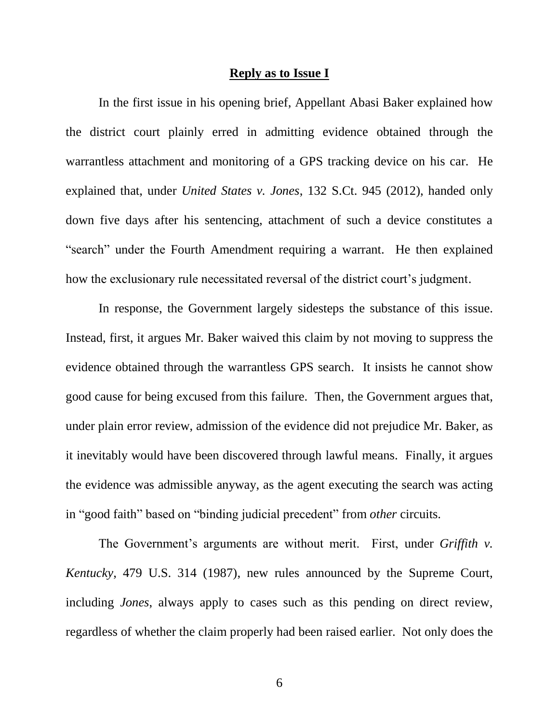#### **Reply as to Issue I**

In the first issue in his opening brief, Appellant Abasi Baker explained how the district court plainly erred in admitting evidence obtained through the warrantless attachment and monitoring of a GPS tracking device on his car. He explained that, under *United States v. Jones*, 132 S.Ct. 945 (2012), handed only down five days after his sentencing, attachment of such a device constitutes a "search" under the Fourth Amendment requiring a warrant. He then explained how the exclusionary rule necessitated reversal of the district court's judgment.

In response, the Government largely sidesteps the substance of this issue. Instead, first, it argues Mr. Baker waived this claim by not moving to suppress the evidence obtained through the warrantless GPS search. It insists he cannot show good cause for being excused from this failure. Then, the Government argues that, under plain error review, admission of the evidence did not prejudice Mr. Baker, as it inevitably would have been discovered through lawful means. Finally, it argues the evidence was admissible anyway, as the agent executing the search was acting in "good faith" based on "binding judicial precedent" from *other* circuits.

The Government's arguments are without merit. First, under *Griffith v. Kentucky*, 479 U.S. 314 (1987), new rules announced by the Supreme Court, including *Jones*, always apply to cases such as this pending on direct review, regardless of whether the claim properly had been raised earlier. Not only does the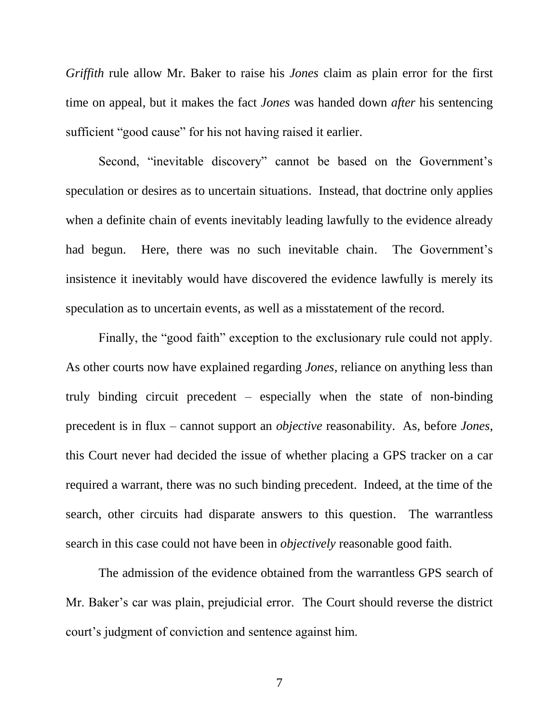*Griffith* rule allow Mr. Baker to raise his *Jones* claim as plain error for the first time on appeal, but it makes the fact *Jones* was handed down *after* his sentencing sufficient "good cause" for his not having raised it earlier.

Second, "inevitable discovery" cannot be based on the Government's speculation or desires as to uncertain situations. Instead, that doctrine only applies when a definite chain of events inevitably leading lawfully to the evidence already had begun. Here, there was no such inevitable chain. The Government's insistence it inevitably would have discovered the evidence lawfully is merely its speculation as to uncertain events, as well as a misstatement of the record.

Finally, the "good faith" exception to the exclusionary rule could not apply. As other courts now have explained regarding *Jones*, reliance on anything less than truly binding circuit precedent – especially when the state of non-binding precedent is in flux – cannot support an *objective* reasonability. As, before *Jones*, this Court never had decided the issue of whether placing a GPS tracker on a car required a warrant, there was no such binding precedent. Indeed, at the time of the search, other circuits had disparate answers to this question. The warrantless search in this case could not have been in *objectively* reasonable good faith.

The admission of the evidence obtained from the warrantless GPS search of Mr. Baker's car was plain, prejudicial error. The Court should reverse the district court's judgment of conviction and sentence against him.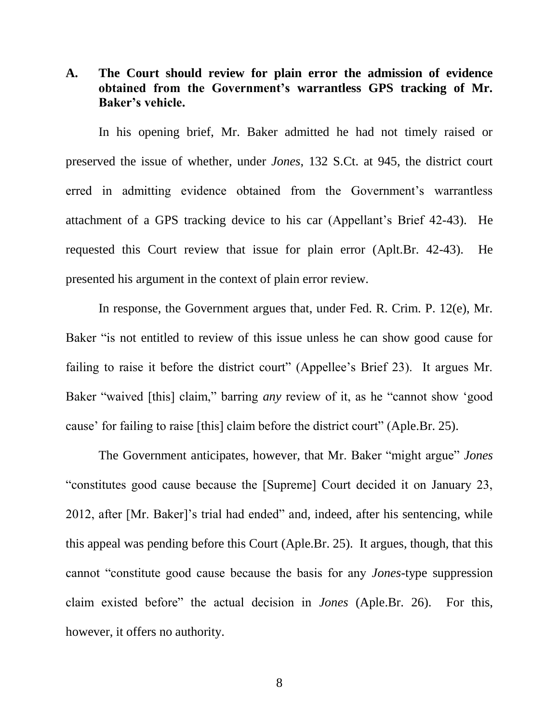#### **A. The Court should review for plain error the admission of evidence obtained from the Government's warrantless GPS tracking of Mr. Baker's vehicle.**

In his opening brief, Mr. Baker admitted he had not timely raised or preserved the issue of whether, under *Jones*, 132 S.Ct. at 945, the district court erred in admitting evidence obtained from the Government's warrantless attachment of a GPS tracking device to his car (Appellant's Brief 42-43). He requested this Court review that issue for plain error (Aplt.Br. 42-43). He presented his argument in the context of plain error review.

In response, the Government argues that, under Fed. R. Crim. P. 12(e), Mr. Baker "is not entitled to review of this issue unless he can show good cause for failing to raise it before the district court" (Appellee's Brief 23). It argues Mr. Baker "waived [this] claim," barring *any* review of it, as he "cannot show 'good cause' for failing to raise [this] claim before the district court" (Aple.Br. 25).

The Government anticipates, however, that Mr. Baker "might argue" *Jones* "constitutes good cause because the [Supreme] Court decided it on January 23, 2012, after [Mr. Baker]'s trial had ended" and, indeed, after his sentencing, while this appeal was pending before this Court (Aple.Br. 25). It argues, though, that this cannot "constitute good cause because the basis for any *Jones*-type suppression claim existed before" the actual decision in *Jones* (Aple.Br. 26). For this, however, it offers no authority.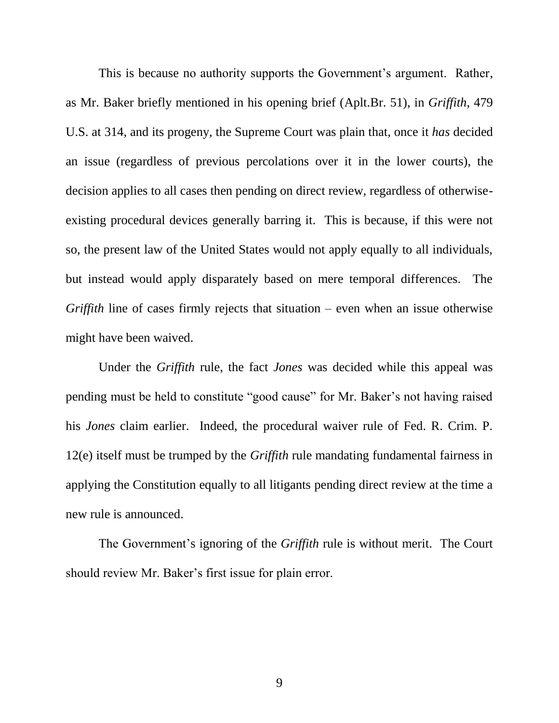This is because no authority supports the Government's argument. Rather, as Mr. Baker briefly mentioned in his opening brief (Aplt.Br. 51), in *Griffith*, 479 U.S. at 314, and its progeny, the Supreme Court was plain that, once it *has* decided an issue (regardless of previous percolations over it in the lower courts), the decision applies to all cases then pending on direct review, regardless of otherwiseexisting procedural devices generally barring it. This is because, if this were not so, the present law of the United States would not apply equally to all individuals, but instead would apply disparately based on mere temporal differences. The *Griffith* line of cases firmly rejects that situation – even when an issue otherwise might have been waived.

Under the *Griffith* rule, the fact *Jones* was decided while this appeal was pending must be held to constitute "good cause" for Mr. Baker's not having raised his *Jones* claim earlier. Indeed, the procedural waiver rule of Fed. R. Crim. P. 12(e) itself must be trumped by the *Griffith* rule mandating fundamental fairness in applying the Constitution equally to all litigants pending direct review at the time a new rule is announced.

The Government's ignoring of the *Griffith* rule is without merit. The Court should review Mr. Baker's first issue for plain error.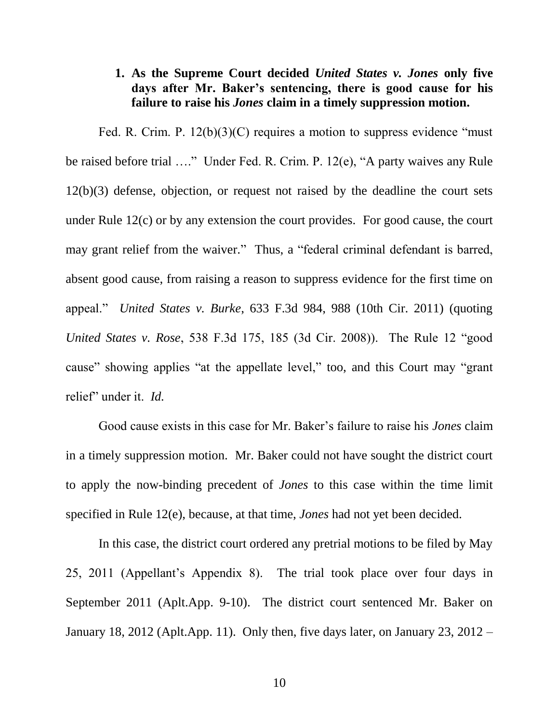#### **1. As the Supreme Court decided** *United States v. Jones* **only five days after Mr. Baker's sentencing, there is good cause for his failure to raise his** *Jones* **claim in a timely suppression motion.**

Fed. R. Crim. P. 12(b)(3)(C) requires a motion to suppress evidence "must be raised before trial …." Under Fed. R. Crim. P. 12(e), "A party waives any Rule 12(b)(3) defense, objection, or request not raised by the deadline the court sets under Rule 12(c) or by any extension the court provides. For good cause, the court may grant relief from the waiver." Thus, a "federal criminal defendant is barred, absent good cause, from raising a reason to suppress evidence for the first time on appeal." *United States v. Burke*, 633 F.3d 984, 988 (10th Cir. 2011) (quoting *United States v. Rose*, 538 F.3d 175, 185 (3d Cir. 2008)). The Rule 12 "good cause" showing applies "at the appellate level," too, and this Court may "grant relief" under it. *Id.*

Good cause exists in this case for Mr. Baker's failure to raise his *Jones* claim in a timely suppression motion. Mr. Baker could not have sought the district court to apply the now-binding precedent of *Jones* to this case within the time limit specified in Rule 12(e), because, at that time, *Jones* had not yet been decided.

In this case, the district court ordered any pretrial motions to be filed by May 25, 2011 (Appellant's Appendix 8). The trial took place over four days in September 2011 (Aplt.App. 9-10). The district court sentenced Mr. Baker on January 18, 2012 (Aplt.App. 11). Only then, five days later, on January 23, 2012 –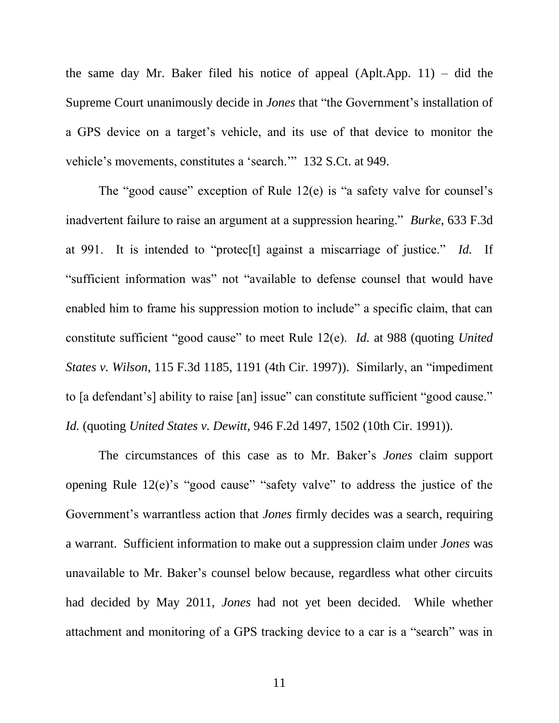the same day Mr. Baker filed his notice of appeal (Aplt.App. 11) – did the Supreme Court unanimously decide in *Jones* that "the Government's installation of a GPS device on a target's vehicle, and its use of that device to monitor the vehicle's movements, constitutes a 'search.'" 132 S.Ct. at 949.

The "good cause" exception of Rule 12(e) is "a safety valve for counsel's inadvertent failure to raise an argument at a suppression hearing." *Burke*, 633 F.3d at 991. It is intended to "protec[t] against a miscarriage of justice." *Id.* If "sufficient information was" not "available to defense counsel that would have enabled him to frame his suppression motion to include" a specific claim, that can constitute sufficient "good cause" to meet Rule 12(e). *Id.* at 988 (quoting *United States v. Wilson*, 115 F.3d 1185, 1191 (4th Cir. 1997)). Similarly, an "impediment to [a defendant's] ability to raise [an] issue" can constitute sufficient "good cause." *Id.* (quoting *United States v. Dewitt*, 946 F.2d 1497, 1502 (10th Cir. 1991)).

The circumstances of this case as to Mr. Baker's *Jones* claim support opening Rule 12(e)'s "good cause" "safety valve" to address the justice of the Government's warrantless action that *Jones* firmly decides was a search, requiring a warrant. Sufficient information to make out a suppression claim under *Jones* was unavailable to Mr. Baker's counsel below because, regardless what other circuits had decided by May 2011, *Jones* had not yet been decided. While whether attachment and monitoring of a GPS tracking device to a car is a "search" was in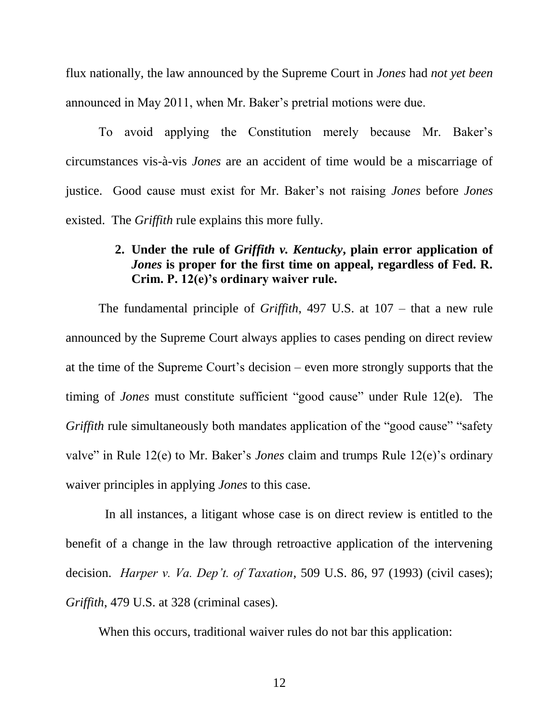flux nationally, the law announced by the Supreme Court in *Jones* had *not yet been* announced in May 2011, when Mr. Baker's pretrial motions were due.

To avoid applying the Constitution merely because Mr. Baker's circumstances vis-à-vis *Jones* are an accident of time would be a miscarriage of justice. Good cause must exist for Mr. Baker's not raising *Jones* before *Jones* existed. The *Griffith* rule explains this more fully.

#### **2. Under the rule of** *Griffith v. Kentucky***, plain error application of**  *Jones* **is proper for the first time on appeal, regardless of Fed. R. Crim. P. 12(e)'s ordinary waiver rule.**

The fundamental principle of *Griffith*, 497 U.S. at 107 – that a new rule announced by the Supreme Court always applies to cases pending on direct review at the time of the Supreme Court's decision – even more strongly supports that the timing of *Jones* must constitute sufficient "good cause" under Rule 12(e). The *Griffith* rule simultaneously both mandates application of the "good cause" "safety" valve" in Rule 12(e) to Mr. Baker's *Jones* claim and trumps Rule 12(e)'s ordinary waiver principles in applying *Jones* to this case.

 In all instances, a litigant whose case is on direct review is entitled to the benefit of a change in the law through retroactive application of the intervening decision. *Harper v. Va. Dep't. of Taxation*, 509 U.S. 86, 97 (1993) (civil cases); *Griffith*, 479 U.S. at 328 (criminal cases).

When this occurs, traditional waiver rules do not bar this application: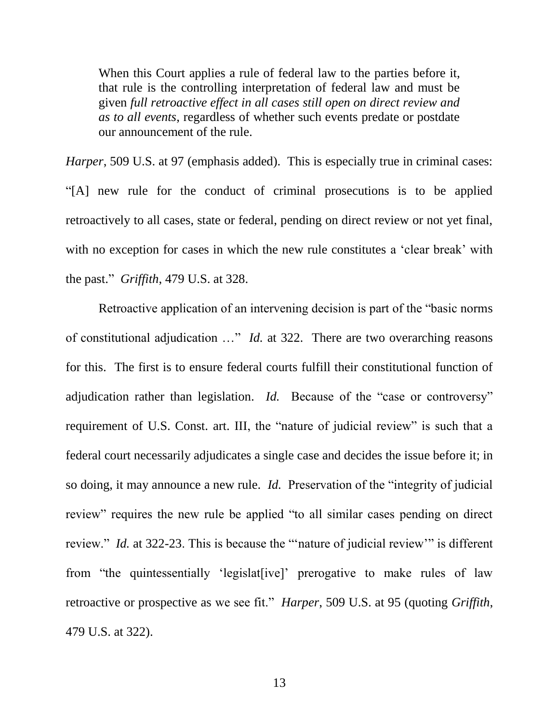When this Court applies a rule of federal law to the parties before it, that rule is the controlling interpretation of federal law and must be given *full retroactive effect in all cases still open on direct review and as to all events*, regardless of whether such events predate or postdate our announcement of the rule.

*Harper*, 509 U.S. at 97 (emphasis added). This is especially true in criminal cases: "[A] new rule for the conduct of criminal prosecutions is to be applied retroactively to all cases, state or federal, pending on direct review or not yet final, with no exception for cases in which the new rule constitutes a 'clear break' with the past." *Griffith*, 479 U.S. at 328.

Retroactive application of an intervening decision is part of the "basic norms of constitutional adjudication …" *Id.* at 322. There are two overarching reasons for this. The first is to ensure federal courts fulfill their constitutional function of adjudication rather than legislation. *Id.* Because of the "case or controversy" requirement of U.S. Const. art. III, the "nature of judicial review" is such that a federal court necessarily adjudicates a single case and decides the issue before it; in so doing, it may announce a new rule. *Id.* Preservation of the "integrity of judicial review" requires the new rule be applied "to all similar cases pending on direct review." *Id.* at 322-23. This is because the "'nature of judicial review'" is different from "the quintessentially 'legislat[ive]' prerogative to make rules of law retroactive or prospective as we see fit." *Harper*, 509 U.S. at 95 (quoting *Griffith*, 479 U.S. at 322).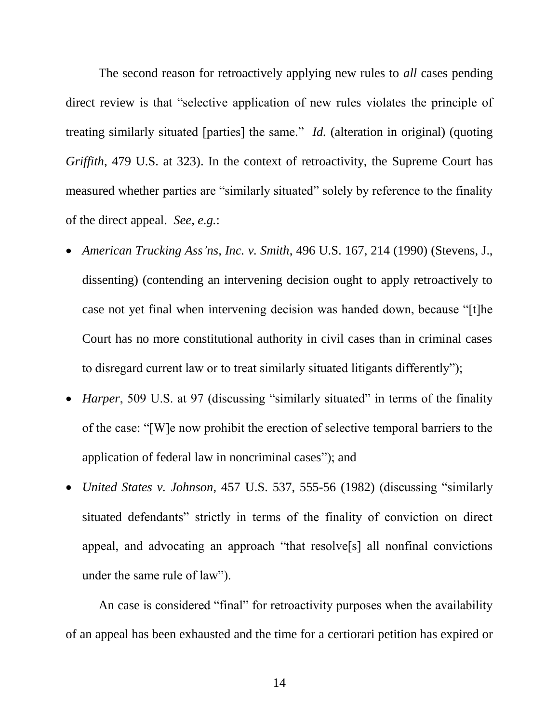The second reason for retroactively applying new rules to *all* cases pending direct review is that "selective application of new rules violates the principle of treating similarly situated [parties] the same." *Id.* (alteration in original) (quoting *Griffith*, 479 U.S. at 323). In the context of retroactivity, the Supreme Court has measured whether parties are "similarly situated" solely by reference to the finality of the direct appeal. *See, e.g.*:

- *American Trucking Ass'ns, Inc. v. Smith*, 496 U.S. 167, 214 (1990) (Stevens, J., dissenting) (contending an intervening decision ought to apply retroactively to case not yet final when intervening decision was handed down, because "[t]he Court has no more constitutional authority in civil cases than in criminal cases to disregard current law or to treat similarly situated litigants differently");
- *Harper*, 509 U.S. at 97 (discussing "similarly situated" in terms of the finality of the case: "[W]e now prohibit the erection of selective temporal barriers to the application of federal law in noncriminal cases"); and
- *United States v. Johnson*, 457 U.S. 537, 555-56 (1982) (discussing "similarly situated defendants" strictly in terms of the finality of conviction on direct appeal, and advocating an approach "that resolve[s] all nonfinal convictions under the same rule of law").

An case is considered "final" for retroactivity purposes when the availability of an appeal has been exhausted and the time for a certiorari petition has expired or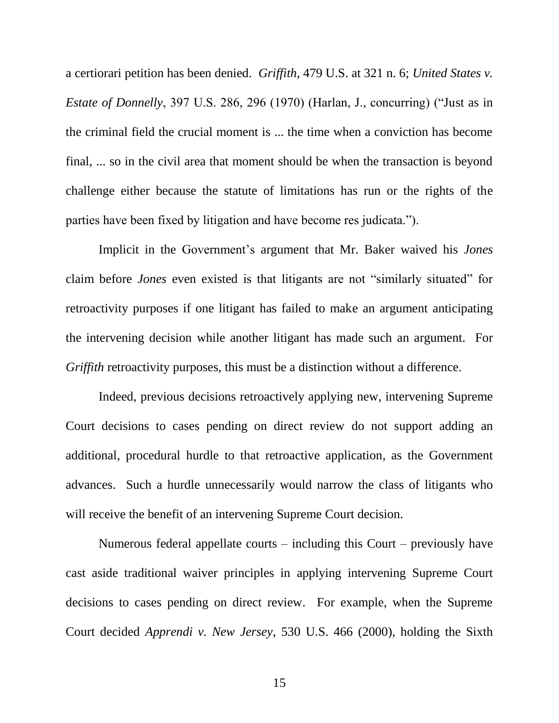a certiorari petition has been denied. *Griffith*, 479 U.S. at 321 n. 6; *United States v. Estate of Donnelly*, 397 U.S. 286, 296 (1970) (Harlan, J., concurring) ("Just as in the criminal field the crucial moment is ... the time when a conviction has become final, ... so in the civil area that moment should be when the transaction is beyond challenge either because the statute of limitations has run or the rights of the parties have been fixed by litigation and have become res judicata.").

Implicit in the Government's argument that Mr. Baker waived his *Jones* claim before *Jones* even existed is that litigants are not "similarly situated" for retroactivity purposes if one litigant has failed to make an argument anticipating the intervening decision while another litigant has made such an argument. For *Griffith* retroactivity purposes, this must be a distinction without a difference.

Indeed, previous decisions retroactively applying new, intervening Supreme Court decisions to cases pending on direct review do not support adding an additional, procedural hurdle to that retroactive application, as the Government advances. Such a hurdle unnecessarily would narrow the class of litigants who will receive the benefit of an intervening Supreme Court decision.

Numerous federal appellate courts – including this Court – previously have cast aside traditional waiver principles in applying intervening Supreme Court decisions to cases pending on direct review. For example, when the Supreme Court decided *Apprendi v. New Jersey*, 530 U.S. 466 (2000), holding the Sixth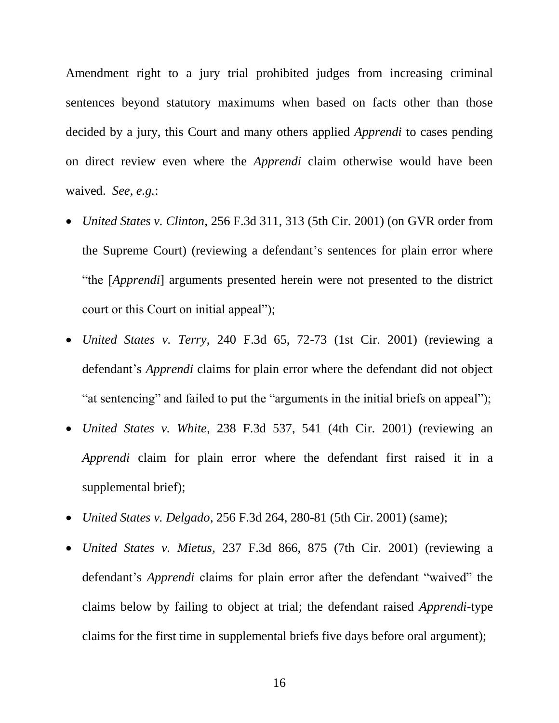Amendment right to a jury trial prohibited judges from increasing criminal sentences beyond statutory maximums when based on facts other than those decided by a jury, this Court and many others applied *Apprendi* to cases pending on direct review even where the *Apprendi* claim otherwise would have been waived. *See, e.g.*:

- *United States v. Clinton*, 256 F.3d 311, 313 (5th Cir. 2001) (on GVR order from the Supreme Court) (reviewing a defendant's sentences for plain error where "the [*Apprendi*] arguments presented herein were not presented to the district court or this Court on initial appeal");
- *United States v. Terry*, 240 F.3d 65, 72-73 (1st Cir. 2001) (reviewing a defendant's *Apprendi* claims for plain error where the defendant did not object "at sentencing" and failed to put the "arguments in the initial briefs on appeal");
- *United States v. White*, 238 F.3d 537, 541 (4th Cir. 2001) (reviewing an *Apprendi* claim for plain error where the defendant first raised it in a supplemental brief);
- *United States v. Delgado*, 256 F.3d 264, 280-81 (5th Cir. 2001) (same);
- *United States v. Mietus*, 237 F.3d 866, 875 (7th Cir. 2001) (reviewing a defendant's *Apprendi* claims for plain error after the defendant "waived" the claims below by failing to object at trial; the defendant raised *Apprendi*-type claims for the first time in supplemental briefs five days before oral argument);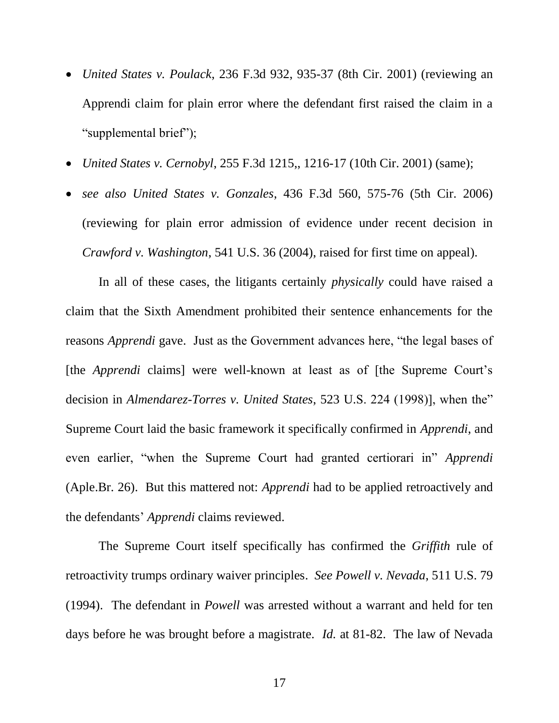- *United States v. Poulack*, 236 F.3d 932, 935-37 (8th Cir. 2001) (reviewing an Apprendi claim for plain error where the defendant first raised the claim in a "supplemental brief");
- *United States v. Cernobyl*, 255 F.3d 1215,, 1216-17 (10th Cir. 2001) (same);
- *see also United States v. Gonzales*, 436 F.3d 560, 575-76 (5th Cir. 2006) (reviewing for plain error admission of evidence under recent decision in *Crawford v. Washington*, 541 U.S. 36 (2004), raised for first time on appeal).

In all of these cases, the litigants certainly *physically* could have raised a claim that the Sixth Amendment prohibited their sentence enhancements for the reasons *Apprendi* gave. Just as the Government advances here, "the legal bases of [the *Apprendi* claims] were well-known at least as of [the Supreme Court's decision in *Almendarez-Torres v. United States*, 523 U.S. 224 (1998)], when the" Supreme Court laid the basic framework it specifically confirmed in *Apprendi*, and even earlier, "when the Supreme Court had granted certiorari in" *Apprendi* (Aple.Br. 26). But this mattered not: *Apprendi* had to be applied retroactively and the defendants' *Apprendi* claims reviewed.

The Supreme Court itself specifically has confirmed the *Griffith* rule of retroactivity trumps ordinary waiver principles. *See Powell v. Nevada*, 511 U.S. 79 (1994). The defendant in *Powell* was arrested without a warrant and held for ten days before he was brought before a magistrate. *Id.* at 81-82. The law of Nevada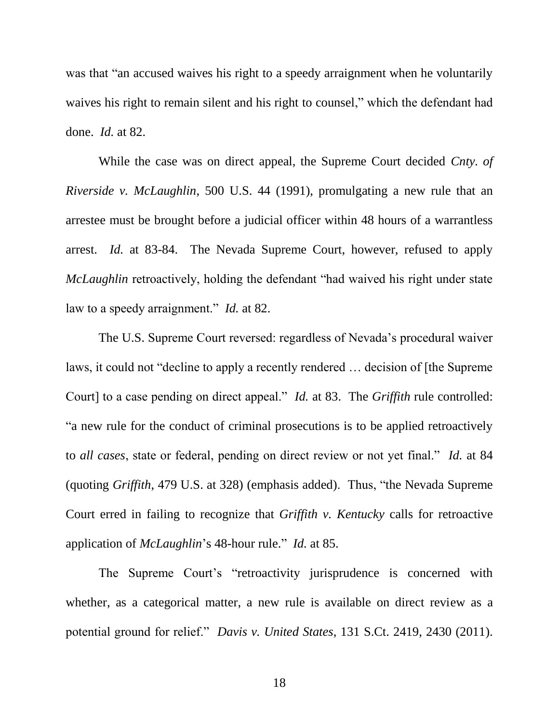was that "an accused waives his right to a speedy arraignment when he voluntarily waives his right to remain silent and his right to counsel," which the defendant had done. *Id.* at 82.

While the case was on direct appeal, the Supreme Court decided *Cnty. of Riverside v. McLaughlin*, 500 U.S. 44 (1991), promulgating a new rule that an arrestee must be brought before a judicial officer within 48 hours of a warrantless arrest. *Id.* at 83-84. The Nevada Supreme Court, however, refused to apply *McLaughlin* retroactively, holding the defendant "had waived his right under state law to a speedy arraignment." *Id.* at 82.

The U.S. Supreme Court reversed: regardless of Nevada's procedural waiver laws, it could not "decline to apply a recently rendered … decision of [the Supreme Court] to a case pending on direct appeal." *Id.* at 83. The *Griffith* rule controlled: "a new rule for the conduct of criminal prosecutions is to be applied retroactively to *all cases*, state or federal, pending on direct review or not yet final." *Id.* at 84 (quoting *Griffith*, 479 U.S. at 328) (emphasis added). Thus, "the Nevada Supreme Court erred in failing to recognize that *Griffith v. Kentucky* calls for retroactive application of *McLaughlin*'s 48-hour rule." *Id.* at 85.

The Supreme Court's "retroactivity jurisprudence is concerned with whether, as a categorical matter, a new rule is available on direct review as a potential ground for relief." *Davis v. United States*, 131 S.Ct. 2419, 2430 (2011).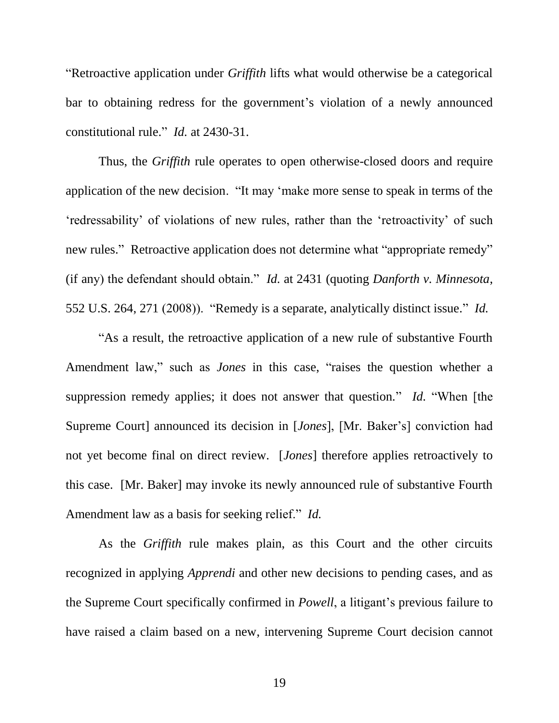"Retroactive application under *Griffith* lifts what would otherwise be a categorical bar to obtaining redress for the government's violation of a newly announced constitutional rule." *Id.* at 2430-31.

Thus, the *Griffith* rule operates to open otherwise-closed doors and require application of the new decision. "It may 'make more sense to speak in terms of the 'redressability' of violations of new rules, rather than the 'retroactivity' of such new rules." Retroactive application does not determine what "appropriate remedy" (if any) the defendant should obtain." *Id.* at 2431 (quoting *Danforth v. Minnesota*, 552 U.S. 264, 271 (2008)). "Remedy is a separate, analytically distinct issue." *Id.*

"As a result, the retroactive application of a new rule of substantive Fourth Amendment law," such as *Jones* in this case, "raises the question whether a suppression remedy applies; it does not answer that question." *Id.* "When [the Supreme Court] announced its decision in [*Jones*], [Mr. Baker's] conviction had not yet become final on direct review. [*Jones*] therefore applies retroactively to this case. [Mr. Baker] may invoke its newly announced rule of substantive Fourth Amendment law as a basis for seeking relief." *Id.*

As the *Griffith* rule makes plain, as this Court and the other circuits recognized in applying *Apprendi* and other new decisions to pending cases, and as the Supreme Court specifically confirmed in *Powell*, a litigant's previous failure to have raised a claim based on a new, intervening Supreme Court decision cannot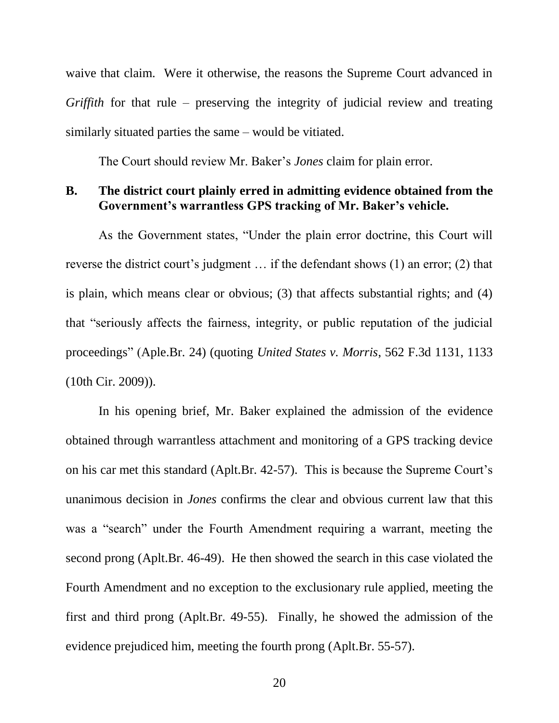waive that claim. Were it otherwise, the reasons the Supreme Court advanced in *Griffith* for that rule – preserving the integrity of judicial review and treating similarly situated parties the same – would be vitiated.

The Court should review Mr. Baker's *Jones* claim for plain error.

#### **B. The district court plainly erred in admitting evidence obtained from the Government's warrantless GPS tracking of Mr. Baker's vehicle.**

As the Government states, "Under the plain error doctrine, this Court will reverse the district court's judgment … if the defendant shows (1) an error; (2) that is plain, which means clear or obvious; (3) that affects substantial rights; and (4) that "seriously affects the fairness, integrity, or public reputation of the judicial proceedings" (Aple.Br. 24) (quoting *United States v. Morris*, 562 F.3d 1131, 1133 (10th Cir. 2009)).

In his opening brief, Mr. Baker explained the admission of the evidence obtained through warrantless attachment and monitoring of a GPS tracking device on his car met this standard (Aplt.Br. 42-57). This is because the Supreme Court's unanimous decision in *Jones* confirms the clear and obvious current law that this was a "search" under the Fourth Amendment requiring a warrant, meeting the second prong (Aplt.Br. 46-49). He then showed the search in this case violated the Fourth Amendment and no exception to the exclusionary rule applied, meeting the first and third prong (Aplt.Br. 49-55). Finally, he showed the admission of the evidence prejudiced him, meeting the fourth prong (Aplt.Br. 55-57).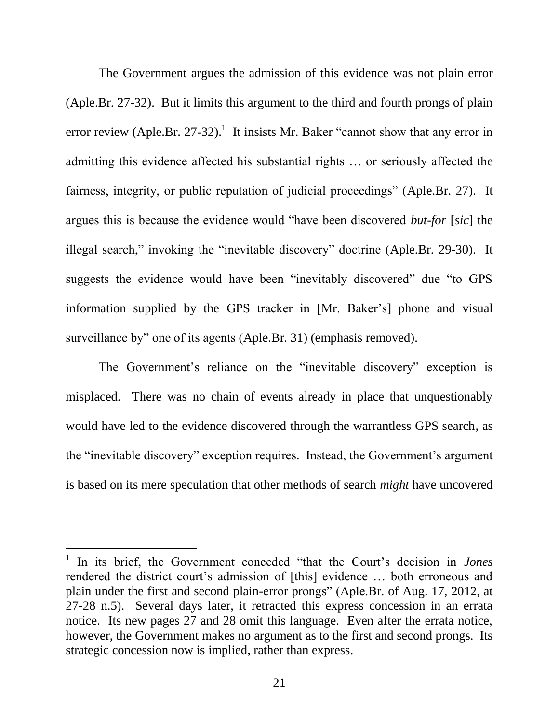The Government argues the admission of this evidence was not plain error (Aple.Br. 27-32). But it limits this argument to the third and fourth prongs of plain error review (Aple.Br. 27-32).<sup>1</sup> It insists Mr. Baker "cannot show that any error in admitting this evidence affected his substantial rights … or seriously affected the fairness, integrity, or public reputation of judicial proceedings" (Aple.Br. 27). It argues this is because the evidence would "have been discovered *but-for* [*sic*] the illegal search," invoking the "inevitable discovery" doctrine (Aple.Br. 29-30). It suggests the evidence would have been "inevitably discovered" due "to GPS information supplied by the GPS tracker in [Mr. Baker's] phone and visual surveillance by" one of its agents (Aple.Br. 31) (emphasis removed).

The Government's reliance on the "inevitable discovery" exception is misplaced. There was no chain of events already in place that unquestionably would have led to the evidence discovered through the warrantless GPS search, as the "inevitable discovery" exception requires. Instead, the Government's argument is based on its mere speculation that other methods of search *might* have uncovered

l

<sup>1</sup> In its brief, the Government conceded "that the Court's decision in *Jones* rendered the district court's admission of [this] evidence … both erroneous and plain under the first and second plain-error prongs" (Aple.Br. of Aug. 17, 2012, at 27-28 n.5). Several days later, it retracted this express concession in an errata notice. Its new pages 27 and 28 omit this language. Even after the errata notice, however, the Government makes no argument as to the first and second prongs. Its strategic concession now is implied, rather than express.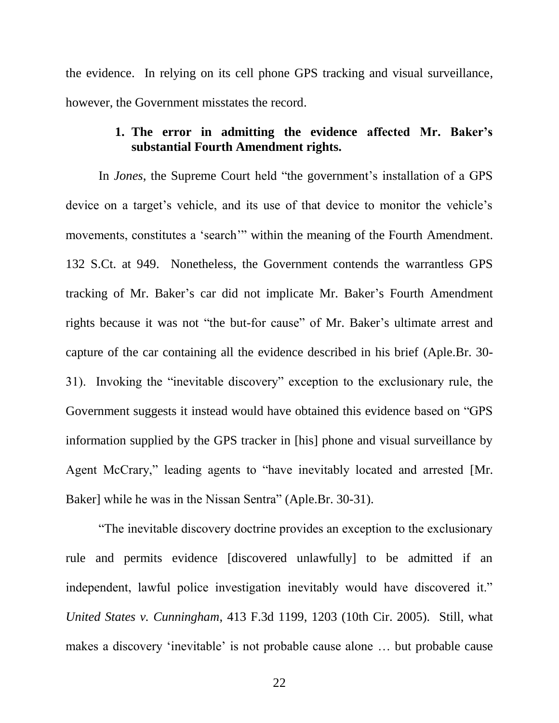the evidence. In relying on its cell phone GPS tracking and visual surveillance, however, the Government misstates the record.

## **1. The error in admitting the evidence affected Mr. Baker's substantial Fourth Amendment rights.**

In *Jones*, the Supreme Court held "the government's installation of a GPS device on a target's vehicle, and its use of that device to monitor the vehicle's movements, constitutes a 'search'" within the meaning of the Fourth Amendment. 132 S.Ct. at 949. Nonetheless, the Government contends the warrantless GPS tracking of Mr. Baker's car did not implicate Mr. Baker's Fourth Amendment rights because it was not "the but-for cause" of Mr. Baker's ultimate arrest and capture of the car containing all the evidence described in his brief (Aple.Br. 30- 31). Invoking the "inevitable discovery" exception to the exclusionary rule, the Government suggests it instead would have obtained this evidence based on "GPS information supplied by the GPS tracker in [his] phone and visual surveillance by Agent McCrary," leading agents to "have inevitably located and arrested [Mr. Baker] while he was in the Nissan Sentra" (Aple.Br. 30-31).

"The inevitable discovery doctrine provides an exception to the exclusionary rule and permits evidence [discovered unlawfully] to be admitted if an independent, lawful police investigation inevitably would have discovered it." *United States v. Cunningham*, 413 F.3d 1199, 1203 (10th Cir. 2005). Still, what makes a discovery 'inevitable' is not probable cause alone … but probable cause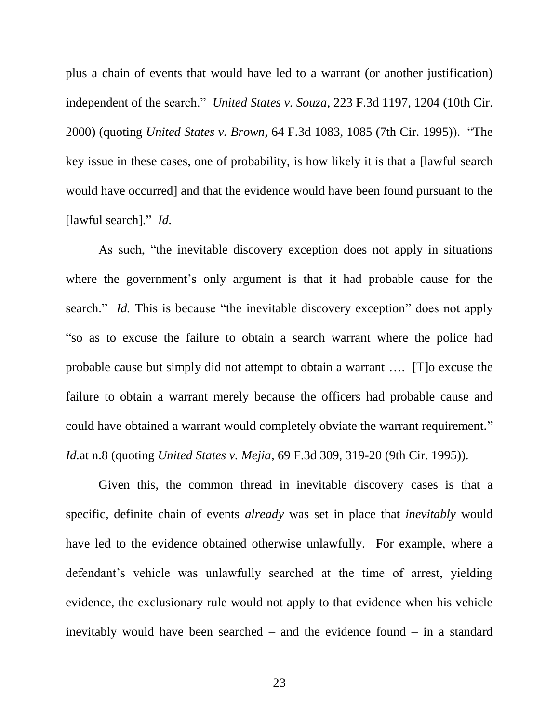plus a chain of events that would have led to a warrant (or another justification) independent of the search." *United States v. Souza*, 223 F.3d 1197, 1204 (10th Cir. 2000) (quoting *United States v. Brown*, 64 F.3d 1083, 1085 (7th Cir. 1995)). "The key issue in these cases, one of probability, is how likely it is that a [lawful search would have occurred] and that the evidence would have been found pursuant to the [lawful search]." *Id.*

As such, "the inevitable discovery exception does not apply in situations where the government's only argument is that it had probable cause for the search." *Id.* This is because "the inevitable discovery exception" does not apply "so as to excuse the failure to obtain a search warrant where the police had probable cause but simply did not attempt to obtain a warrant …. [T]o excuse the failure to obtain a warrant merely because the officers had probable cause and could have obtained a warrant would completely obviate the warrant requirement." *Id.*at n.8 (quoting *United States v. Mejia*, 69 F.3d 309, 319-20 (9th Cir. 1995)).

Given this, the common thread in inevitable discovery cases is that a specific, definite chain of events *already* was set in place that *inevitably* would have led to the evidence obtained otherwise unlawfully. For example, where a defendant's vehicle was unlawfully searched at the time of arrest, yielding evidence, the exclusionary rule would not apply to that evidence when his vehicle inevitably would have been searched – and the evidence found – in a standard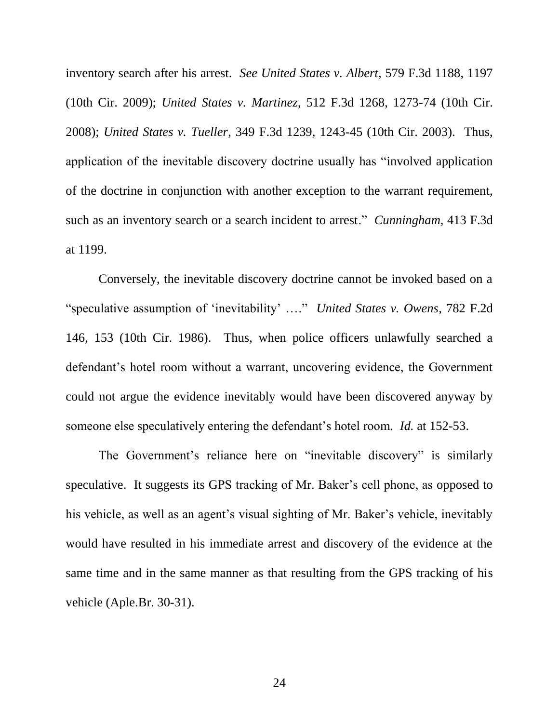inventory search after his arrest. *See United States v. Albert*, 579 F.3d 1188, 1197 (10th Cir. 2009); *United States v. Martinez*, 512 F.3d 1268, 1273-74 (10th Cir. 2008); *United States v. Tueller*, 349 F.3d 1239, 1243-45 (10th Cir. 2003). Thus, application of the inevitable discovery doctrine usually has "involved application of the doctrine in conjunction with another exception to the warrant requirement, such as an inventory search or a search incident to arrest." *Cunningham*, 413 F.3d at 1199.

Conversely, the inevitable discovery doctrine cannot be invoked based on a "speculative assumption of 'inevitability' …." *United States v. Owens*, 782 F.2d 146, 153 (10th Cir. 1986). Thus, when police officers unlawfully searched a defendant's hotel room without a warrant, uncovering evidence, the Government could not argue the evidence inevitably would have been discovered anyway by someone else speculatively entering the defendant's hotel room. *Id.* at 152-53.

The Government's reliance here on "inevitable discovery" is similarly speculative. It suggests its GPS tracking of Mr. Baker's cell phone, as opposed to his vehicle, as well as an agent's visual sighting of Mr. Baker's vehicle, inevitably would have resulted in his immediate arrest and discovery of the evidence at the same time and in the same manner as that resulting from the GPS tracking of his vehicle (Aple.Br. 30-31).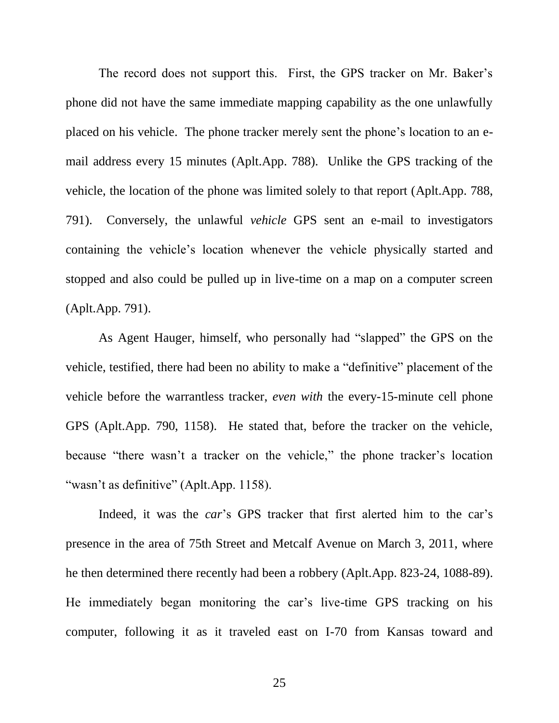The record does not support this. First, the GPS tracker on Mr. Baker's phone did not have the same immediate mapping capability as the one unlawfully placed on his vehicle. The phone tracker merely sent the phone's location to an email address every 15 minutes (Aplt.App. 788). Unlike the GPS tracking of the vehicle, the location of the phone was limited solely to that report (Aplt.App. 788, 791). Conversely, the unlawful *vehicle* GPS sent an e-mail to investigators containing the vehicle's location whenever the vehicle physically started and stopped and also could be pulled up in live-time on a map on a computer screen (Aplt.App. 791).

As Agent Hauger, himself, who personally had "slapped" the GPS on the vehicle, testified, there had been no ability to make a "definitive" placement of the vehicle before the warrantless tracker, *even with* the every-15-minute cell phone GPS (Aplt.App. 790, 1158). He stated that, before the tracker on the vehicle, because "there wasn't a tracker on the vehicle," the phone tracker's location "wasn't as definitive" (Aplt.App. 1158).

Indeed, it was the *car*'s GPS tracker that first alerted him to the car's presence in the area of 75th Street and Metcalf Avenue on March 3, 2011, where he then determined there recently had been a robbery (Aplt.App. 823-24, 1088-89). He immediately began monitoring the car's live-time GPS tracking on his computer, following it as it traveled east on I-70 from Kansas toward and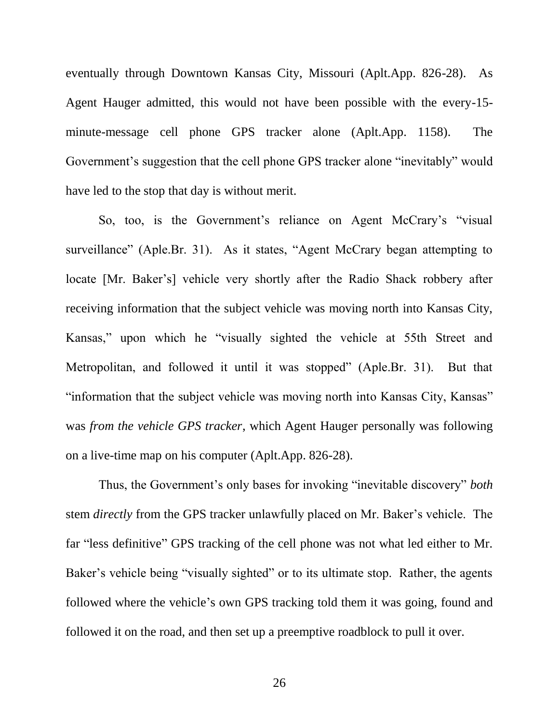eventually through Downtown Kansas City, Missouri (Aplt.App. 826-28). As Agent Hauger admitted, this would not have been possible with the every-15 minute-message cell phone GPS tracker alone (Aplt.App. 1158). The Government's suggestion that the cell phone GPS tracker alone "inevitably" would have led to the stop that day is without merit.

So, too, is the Government's reliance on Agent McCrary's "visual surveillance" (Aple.Br. 31). As it states, "Agent McCrary began attempting to locate [Mr. Baker's] vehicle very shortly after the Radio Shack robbery after receiving information that the subject vehicle was moving north into Kansas City, Kansas," upon which he "visually sighted the vehicle at 55th Street and Metropolitan, and followed it until it was stopped" (Aple.Br. 31). But that "information that the subject vehicle was moving north into Kansas City, Kansas" was *from the vehicle GPS tracker*, which Agent Hauger personally was following on a live-time map on his computer (Aplt.App. 826-28).

Thus, the Government's only bases for invoking "inevitable discovery" *both* stem *directly* from the GPS tracker unlawfully placed on Mr. Baker's vehicle. The far "less definitive" GPS tracking of the cell phone was not what led either to Mr. Baker's vehicle being "visually sighted" or to its ultimate stop. Rather, the agents followed where the vehicle's own GPS tracking told them it was going, found and followed it on the road, and then set up a preemptive roadblock to pull it over.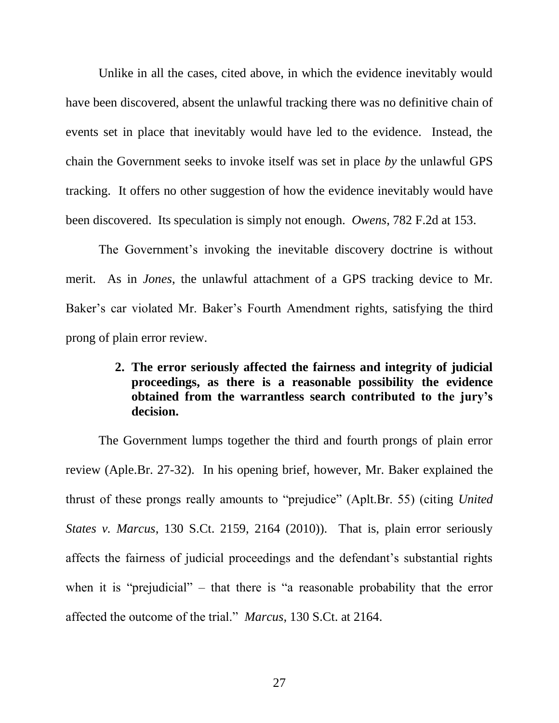Unlike in all the cases, cited above, in which the evidence inevitably would have been discovered, absent the unlawful tracking there was no definitive chain of events set in place that inevitably would have led to the evidence. Instead, the chain the Government seeks to invoke itself was set in place *by* the unlawful GPS tracking. It offers no other suggestion of how the evidence inevitably would have been discovered. Its speculation is simply not enough. *Owens*, 782 F.2d at 153.

The Government's invoking the inevitable discovery doctrine is without merit. As in *Jones*, the unlawful attachment of a GPS tracking device to Mr. Baker's car violated Mr. Baker's Fourth Amendment rights, satisfying the third prong of plain error review.

## **2. The error seriously affected the fairness and integrity of judicial proceedings, as there is a reasonable possibility the evidence obtained from the warrantless search contributed to the jury's decision.**

The Government lumps together the third and fourth prongs of plain error review (Aple.Br. 27-32). In his opening brief, however, Mr. Baker explained the thrust of these prongs really amounts to "prejudice" (Aplt.Br. 55) (citing *United States v. Marcus*, 130 S.Ct. 2159, 2164 (2010)). That is, plain error seriously affects the fairness of judicial proceedings and the defendant's substantial rights when it is "prejudicial" – that there is "a reasonable probability that the error affected the outcome of the trial." *Marcus*, 130 S.Ct. at 2164.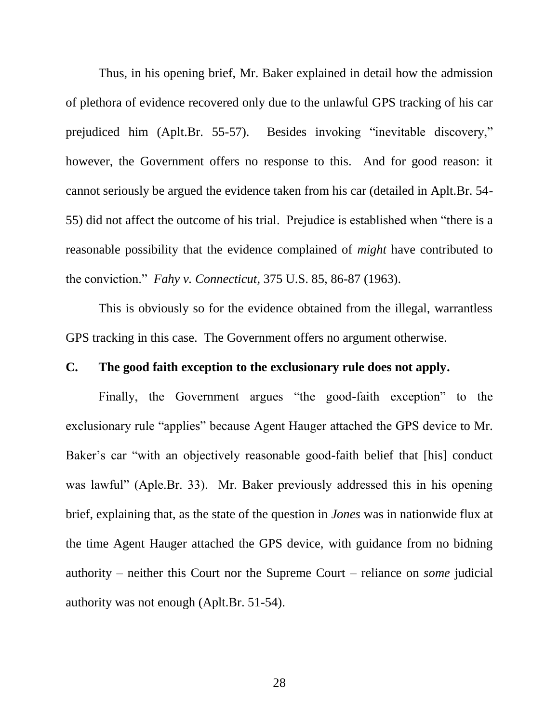Thus, in his opening brief, Mr. Baker explained in detail how the admission of plethora of evidence recovered only due to the unlawful GPS tracking of his car prejudiced him (Aplt.Br. 55-57). Besides invoking "inevitable discovery," however, the Government offers no response to this. And for good reason: it cannot seriously be argued the evidence taken from his car (detailed in Aplt.Br. 54- 55) did not affect the outcome of his trial. Prejudice is established when "there is a reasonable possibility that the evidence complained of *might* have contributed to the conviction." *Fahy v. Connecticut*, 375 U.S. 85, 86-87 (1963).

This is obviously so for the evidence obtained from the illegal, warrantless GPS tracking in this case. The Government offers no argument otherwise.

#### **C. The good faith exception to the exclusionary rule does not apply.**

Finally, the Government argues "the good-faith exception" to the exclusionary rule "applies" because Agent Hauger attached the GPS device to Mr. Baker's car "with an objectively reasonable good-faith belief that [his] conduct was lawful" (Aple.Br. 33). Mr. Baker previously addressed this in his opening brief, explaining that, as the state of the question in *Jones* was in nationwide flux at the time Agent Hauger attached the GPS device, with guidance from no bidning authority – neither this Court nor the Supreme Court – reliance on *some* judicial authority was not enough (Aplt.Br. 51-54).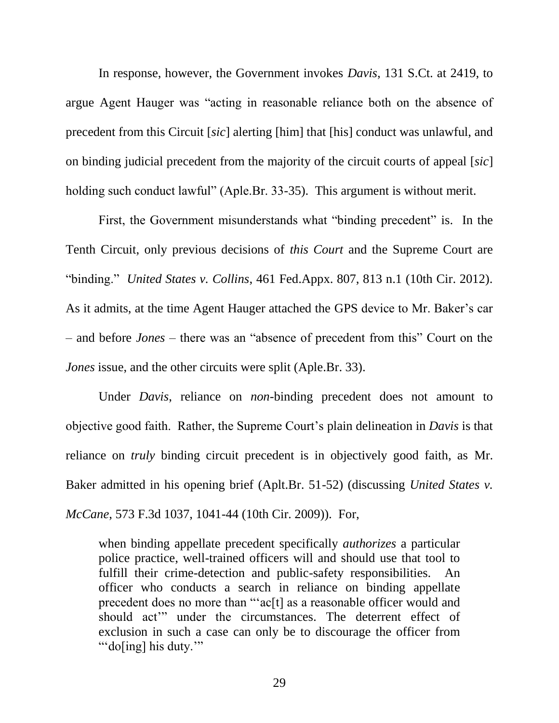In response, however, the Government invokes *Davis*, 131 S.Ct. at 2419, to argue Agent Hauger was "acting in reasonable reliance both on the absence of precedent from this Circuit [*sic*] alerting [him] that [his] conduct was unlawful, and on binding judicial precedent from the majority of the circuit courts of appeal [*sic*] holding such conduct lawful" (Aple.Br. 33-35). This argument is without merit.

First, the Government misunderstands what "binding precedent" is. In the Tenth Circuit, only previous decisions of *this Court* and the Supreme Court are "binding." *United States v. Collins*, 461 Fed.Appx. 807, 813 n.1 (10th Cir. 2012). As it admits, at the time Agent Hauger attached the GPS device to Mr. Baker's car – and before *Jones* – there was an "absence of precedent from this" Court on the *Jones* issue, and the other circuits were split (Aple.Br. 33).

Under *Davis*, reliance on *non*-binding precedent does not amount to objective good faith. Rather, the Supreme Court's plain delineation in *Davis* is that reliance on *truly* binding circuit precedent is in objectively good faith, as Mr. Baker admitted in his opening brief (Aplt.Br. 51-52) (discussing *United States v. McCane*, 573 F.3d 1037, 1041-44 (10th Cir. 2009)). For,

when binding appellate precedent specifically *authorizes* a particular police practice, well-trained officers will and should use that tool to fulfill their crime-detection and public-safety responsibilities. An officer who conducts a search in reliance on binding appellate precedent does no more than "'ac[t] as a reasonable officer would and should act'" under the circumstances. The deterrent effect of exclusion in such a case can only be to discourage the officer from ""do[ing] his duty.""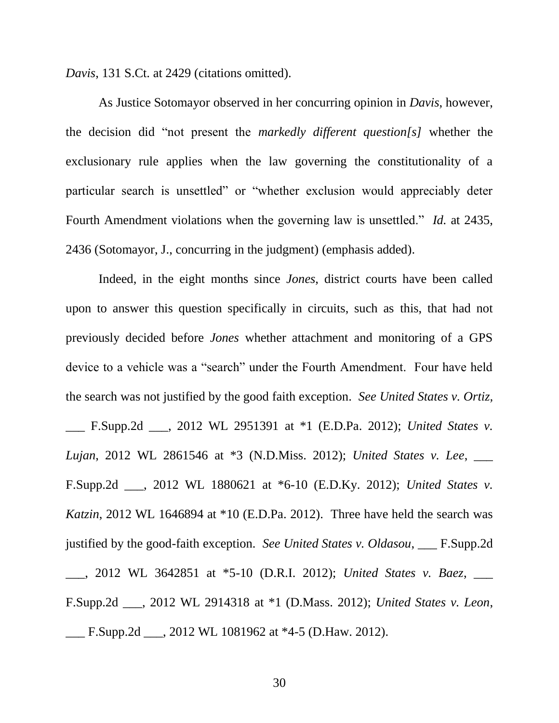*Davis*, 131 S.Ct. at 2429 (citations omitted).

As Justice Sotomayor observed in her concurring opinion in *Davis*, however, the decision did "not present the *markedly different question[s]* whether the exclusionary rule applies when the law governing the constitutionality of a particular search is unsettled" or "whether exclusion would appreciably deter Fourth Amendment violations when the governing law is unsettled." *Id.* at 2435, 2436 (Sotomayor, J., concurring in the judgment) (emphasis added).

Indeed, in the eight months since *Jones*, district courts have been called upon to answer this question specifically in circuits, such as this, that had not previously decided before *Jones* whether attachment and monitoring of a GPS device to a vehicle was a "search" under the Fourth Amendment. Four have held the search was not justified by the good faith exception. *See United States v. Ortiz,* \_\_\_ F.Supp.2d \_\_\_, 2012 WL 2951391 at \*1 (E.D.Pa. 2012); *United States v. Lujan*, 2012 WL 2861546 at \*3 (N.D.Miss. 2012); *United States v. Lee*, \_\_\_ F.Supp.2d \_\_\_, 2012 WL 1880621 at \*6-10 (E.D.Ky. 2012); *United States v. Katzin*, 2012 WL 1646894 at \*10 (E.D.Pa. 2012). Three have held the search was justified by the good-faith exception. *See United States v. Oldasou*, \_\_\_ F.Supp.2d \_\_\_, 2012 WL 3642851 at \*5-10 (D.R.I. 2012); *United States v. Baez*, \_\_\_ F.Supp.2d \_\_\_, 2012 WL 2914318 at \*1 (D.Mass. 2012); *United States v. Leon*, \_\_\_ F.Supp.2d \_\_\_, 2012 WL 1081962 at \*4-5 (D.Haw. 2012).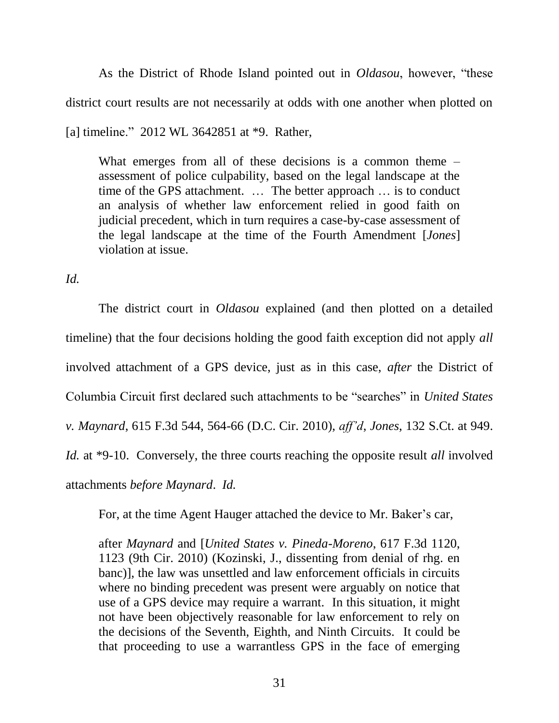As the District of Rhode Island pointed out in *Oldasou*, however, "these district court results are not necessarily at odds with one another when plotted on [a] timeline." 2012 WL 3642851 at \*9. Rather,

What emerges from all of these decisions is a common theme – assessment of police culpability, based on the legal landscape at the time of the GPS attachment. … The better approach … is to conduct an analysis of whether law enforcement relied in good faith on judicial precedent, which in turn requires a case-by-case assessment of the legal landscape at the time of the Fourth Amendment [*Jones*] violation at issue.

*Id.*

The district court in *Oldasou* explained (and then plotted on a detailed timeline) that the four decisions holding the good faith exception did not apply *all* involved attachment of a GPS device, just as in this case, *after* the District of Columbia Circuit first declared such attachments to be "searches" in *United States v. Maynard*, 615 F.3d 544, 564-66 (D.C. Cir. 2010), *aff'd*, *Jones*, 132 S.Ct. at 949. *Id.* at \*9-10. Conversely, the three courts reaching the opposite result *all* involved attachments *before Maynard*. *Id.*

For, at the time Agent Hauger attached the device to Mr. Baker's car,

after *Maynard* and [*United States v. Pineda-Moreno*, 617 F.3d 1120, 1123 (9th Cir. 2010) (Kozinski, J., dissenting from denial of rhg. en banc)], the law was unsettled and law enforcement officials in circuits where no binding precedent was present were arguably on notice that use of a GPS device may require a warrant. In this situation, it might not have been objectively reasonable for law enforcement to rely on the decisions of the Seventh, Eighth, and Ninth Circuits. It could be that proceeding to use a warrantless GPS in the face of emerging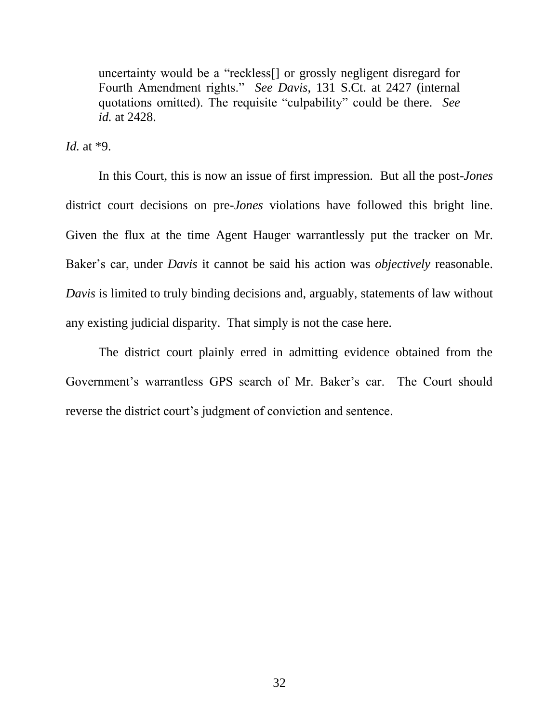uncertainty would be a "reckless[] or grossly negligent disregard for Fourth Amendment rights." *See Davis*, 131 S.Ct. at 2427 (internal quotations omitted). The requisite "culpability" could be there. *See id.* at 2428.

*Id.* at \*9.

In this Court, this is now an issue of first impression. But all the post-*Jones* district court decisions on pre-*Jones* violations have followed this bright line. Given the flux at the time Agent Hauger warrantlessly put the tracker on Mr. Baker's car, under *Davis* it cannot be said his action was *objectively* reasonable. *Davis* is limited to truly binding decisions and, arguably, statements of law without any existing judicial disparity. That simply is not the case here.

The district court plainly erred in admitting evidence obtained from the Government's warrantless GPS search of Mr. Baker's car. The Court should reverse the district court's judgment of conviction and sentence.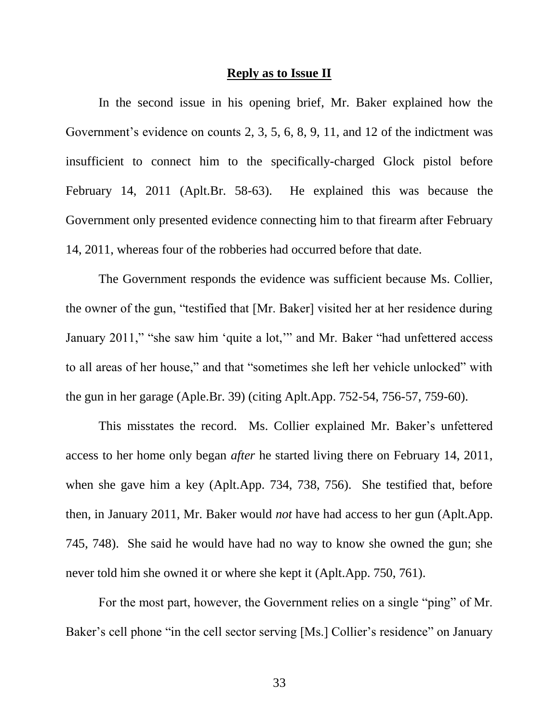#### **Reply as to Issue II**

In the second issue in his opening brief, Mr. Baker explained how the Government's evidence on counts 2, 3, 5, 6, 8, 9, 11, and 12 of the indictment was insufficient to connect him to the specifically-charged Glock pistol before February 14, 2011 (Aplt.Br. 58-63). He explained this was because the Government only presented evidence connecting him to that firearm after February 14, 2011, whereas four of the robberies had occurred before that date.

The Government responds the evidence was sufficient because Ms. Collier, the owner of the gun, "testified that [Mr. Baker] visited her at her residence during January 2011," "she saw him 'quite a lot,'" and Mr. Baker "had unfettered access to all areas of her house," and that "sometimes she left her vehicle unlocked" with the gun in her garage (Aple.Br. 39) (citing Aplt.App. 752-54, 756-57, 759-60).

This misstates the record. Ms. Collier explained Mr. Baker's unfettered access to her home only began *after* he started living there on February 14, 2011, when she gave him a key (Aplt.App. 734, 738, 756). She testified that, before then, in January 2011, Mr. Baker would *not* have had access to her gun (Aplt.App. 745, 748). She said he would have had no way to know she owned the gun; she never told him she owned it or where she kept it (Aplt.App. 750, 761).

For the most part, however, the Government relies on a single "ping" of Mr. Baker's cell phone "in the cell sector serving [Ms.] Collier's residence" on January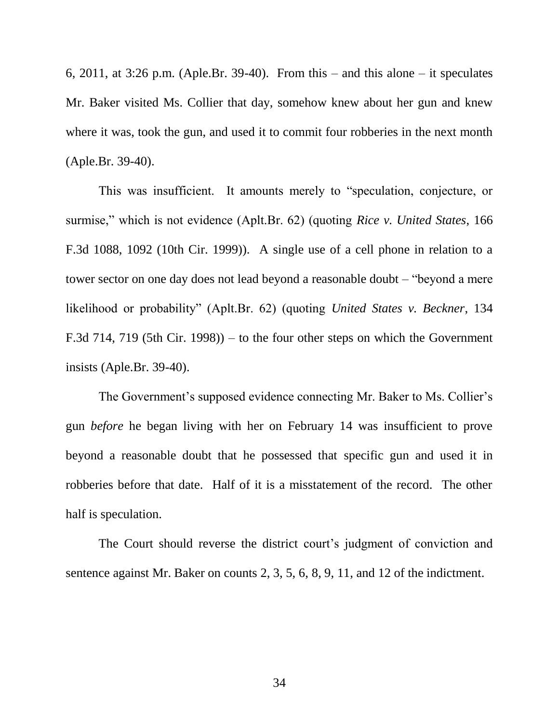6, 2011, at 3:26 p.m. (Aple.Br. 39-40). From this – and this alone – it speculates Mr. Baker visited Ms. Collier that day, somehow knew about her gun and knew where it was, took the gun, and used it to commit four robberies in the next month (Aple.Br. 39-40).

This was insufficient. It amounts merely to "speculation, conjecture, or surmise," which is not evidence (Aplt.Br. 62) (quoting *Rice v. United States*, 166 F.3d 1088, 1092 (10th Cir. 1999)). A single use of a cell phone in relation to a tower sector on one day does not lead beyond a reasonable doubt – "beyond a mere likelihood or probability" (Aplt.Br. 62) (quoting *United States v. Beckner*, 134 F.3d 714, 719 (5th Cir. 1998)) – to the four other steps on which the Government insists (Aple.Br. 39-40).

The Government's supposed evidence connecting Mr. Baker to Ms. Collier's gun *before* he began living with her on February 14 was insufficient to prove beyond a reasonable doubt that he possessed that specific gun and used it in robberies before that date. Half of it is a misstatement of the record. The other half is speculation.

The Court should reverse the district court's judgment of conviction and sentence against Mr. Baker on counts 2, 3, 5, 6, 8, 9, 11, and 12 of the indictment.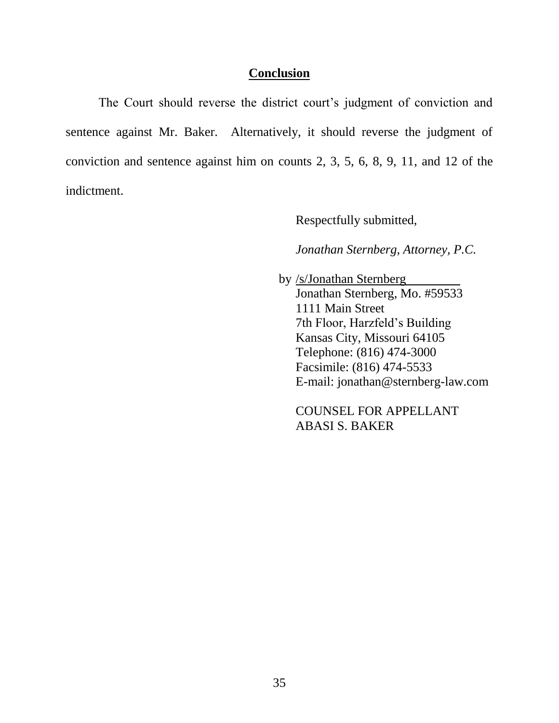#### **Conclusion**

The Court should reverse the district court's judgment of conviction and sentence against Mr. Baker. Alternatively, it should reverse the judgment of conviction and sentence against him on counts 2, 3, 5, 6, 8, 9, 11, and 12 of the indictment.

Respectfully submitted,

*Jonathan Sternberg, Attorney, P.C.*

 by /s/Jonathan Sternberg Jonathan Sternberg, Mo. #59533 1111 Main Street 7th Floor, Harzfeld's Building Kansas City, Missouri 64105 Telephone: (816) 474-3000 Facsimile: (816) 474-5533 E-mail: jonathan@sternberg-law.com

COUNSEL FOR APPELLANT ABASI S. BAKER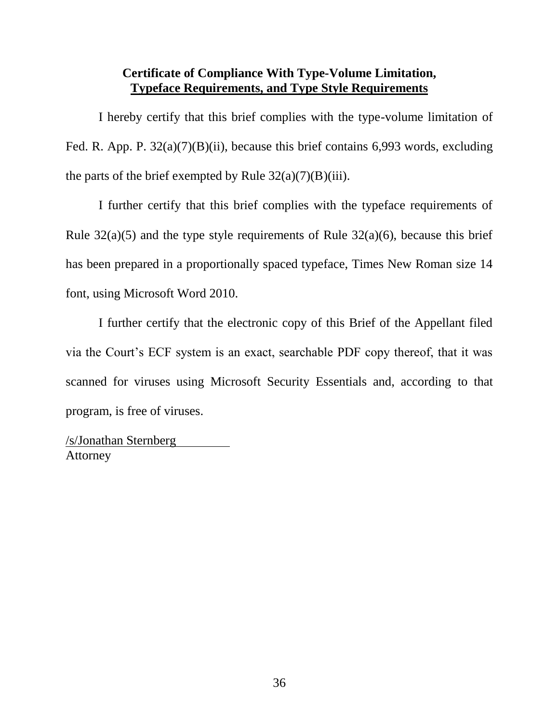## **Certificate of Compliance With Type-Volume Limitation, Typeface Requirements, and Type Style Requirements**

I hereby certify that this brief complies with the type-volume limitation of Fed. R. App. P. 32(a)(7)(B)(ii), because this brief contains 6,993 words, excluding the parts of the brief exempted by Rule  $32(a)(7)(B)(iii)$ .

I further certify that this brief complies with the typeface requirements of Rule  $32(a)(5)$  and the type style requirements of Rule  $32(a)(6)$ , because this brief has been prepared in a proportionally spaced typeface, Times New Roman size 14 font, using Microsoft Word 2010.

I further certify that the electronic copy of this Brief of the Appellant filed via the Court's ECF system is an exact, searchable PDF copy thereof, that it was scanned for viruses using Microsoft Security Essentials and, according to that program, is free of viruses.

/s/Jonathan Sternberg Attorney